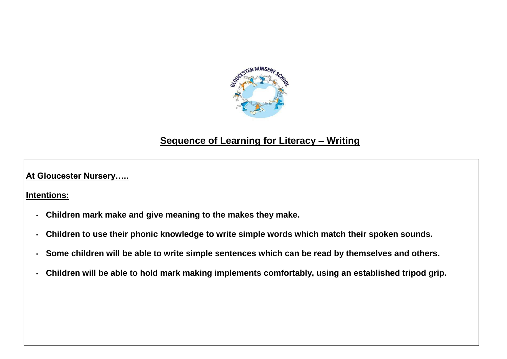

## **Sequence of Learning for Literacy – Writing**

**At Gloucester Nursery…..**

**Intentions:**

- **Children mark make and give meaning to the makes they make.**
- **Children to use their phonic knowledge to write simple words which match their spoken sounds.**
- **Some children will be able to write simple sentences which can be read by themselves and others.**
- **Children will be able to hold mark making implements comfortably, using an established tripod grip.**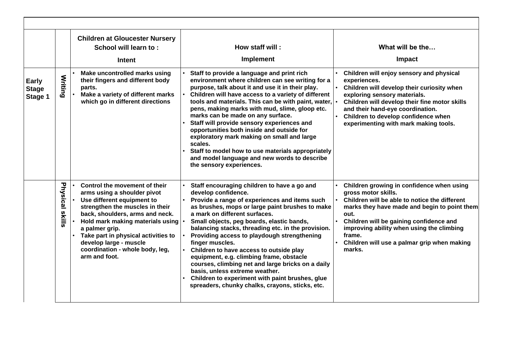|                                         |                 | <b>Children at Gloucester Nursery</b><br>School will learn to:<br><b>Intent</b>                                                                                                                                                                                                                                                             | How staff will:<br><b>Implement</b>                                                                                                                                                                                                                                                                                                                                                                                                                                                                                                                                                                                                                              | What will be the<br>Impact                                                                                                                                                                                                                                                                                                           |
|-----------------------------------------|-----------------|---------------------------------------------------------------------------------------------------------------------------------------------------------------------------------------------------------------------------------------------------------------------------------------------------------------------------------------------|------------------------------------------------------------------------------------------------------------------------------------------------------------------------------------------------------------------------------------------------------------------------------------------------------------------------------------------------------------------------------------------------------------------------------------------------------------------------------------------------------------------------------------------------------------------------------------------------------------------------------------------------------------------|--------------------------------------------------------------------------------------------------------------------------------------------------------------------------------------------------------------------------------------------------------------------------------------------------------------------------------------|
| <b>Early</b><br><b>Stage</b><br>Stage 1 | <b>Writing</b>  | Make uncontrolled marks using<br>their fingers and different body<br>parts.<br>Make a variety of different marks<br>which go in different directions                                                                                                                                                                                        | Staff to provide a language and print rich<br>environment where children can see writing for a<br>purpose, talk about it and use it in their play.<br>Children will have access to a variety of different<br>tools and materials. This can be with paint, water,<br>pens, making marks with mud, slime, gloop etc.<br>marks can be made on any surface.<br>Staff will provide sensory experiences and<br>opportunities both inside and outside for<br>exploratory mark making on small and large<br>scales.<br>Staff to model how to use materials appropriately<br>and model language and new words to describe<br>the sensory experiences.                     | Children will enjoy sensory and physical<br>experiences.<br>Children will develop their curiosity when<br>exploring sensory materials.<br>Children will develop their fine motor skills<br>and their hand-eye coordination.<br>Children to develop confidence when<br>experimenting with mark making tools.                          |
|                                         | Physical skills | Control the movement of their<br>arms using a shoulder pivot<br>Use different equipment to<br>strengthen the muscles in their<br>back, shoulders, arms and neck.<br>Hold mark making materials using<br>a palmer grip.<br>Take part in physical activities to<br>develop large - muscle<br>coordination - whole body, leg,<br>arm and foot. | Staff encouraging children to have a go and<br>develop confidence.<br>Provide a range of experiences and items such<br>as brushes, mops or large paint brushes to make<br>a mark on different surfaces.<br>Small objects, peg boards, elastic bands,<br>balancing stacks, threading etc. in the provision.<br>Providing access to playdough strengthening<br>finger muscles.<br>Children to have access to outside play<br>equipment, e.g. climbing frame, obstacle<br>courses, climbing net and large bricks on a daily<br>basis, unless extreme weather.<br>Children to experiment with paint brushes, glue<br>spreaders, chunky chalks, crayons, sticks, etc. | Children growing in confidence when using<br>gross motor skills.<br>Children will be able to notice the different<br>marks they have made and begin to point them<br>out.<br>Children will be gaining confidence and<br>improving ability when using the climbing<br>frame.<br>Children will use a palmar grip when making<br>marks. |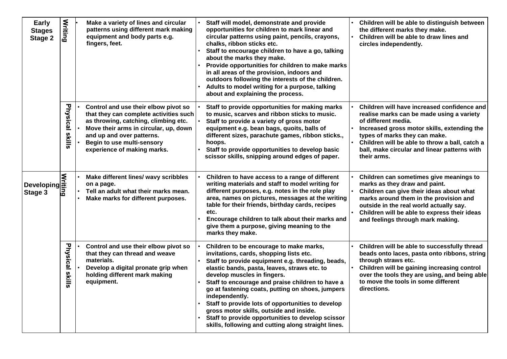| <b>Early</b><br><b>Stages</b><br><b>Stage 2</b> | <b>Writing</b>     | Make a variety of lines and circular<br>patterns using different mark making<br>equipment and body parts e.g.<br>fingers, feet.                                                                                                                           | Staff will model, demonstrate and provide<br>opportunities for children to mark linear and<br>circular patterns using paint, pencils, crayons,<br>chalks, ribbon sticks etc.<br>Staff to encourage children to have a go, talking<br>about the marks they make.<br>Provide opportunities for children to make marks<br>in all areas of the provision, indoors and<br>outdoors following the interests of the children.<br>Adults to model writing for a purpose, talking<br>about and explaining the process.                                                | Children will be able to distinguish between<br>the different marks they make.<br>Children will be able to draw lines and<br>circles independently.                                                                                                                                                              |
|-------------------------------------------------|--------------------|-----------------------------------------------------------------------------------------------------------------------------------------------------------------------------------------------------------------------------------------------------------|--------------------------------------------------------------------------------------------------------------------------------------------------------------------------------------------------------------------------------------------------------------------------------------------------------------------------------------------------------------------------------------------------------------------------------------------------------------------------------------------------------------------------------------------------------------|------------------------------------------------------------------------------------------------------------------------------------------------------------------------------------------------------------------------------------------------------------------------------------------------------------------|
|                                                 | Physical<br>slills | Control and use their elbow pivot so<br>that they can complete activities such<br>as throwing, catching, climbing etc.<br>Move their arms in circular, up, down<br>and up and over patterns.<br>Begin to use multi-sensory<br>experience of making marks. | Staff to provide opportunities for making marks<br>to music, scarves and ribbon sticks to music.<br>Staff to provide a variety of gross motor<br>equipment e.g. bean bags, quoits, balls of<br>different sizes, parachute games, ribbon sticks.,<br>hoops.<br>Staff to provide opportunities to develop basic<br>scissor skills, snipping around edges of paper.                                                                                                                                                                                             | Children will have increased confidence and<br>realise marks can be made using a variety<br>of different media.<br>Increased gross motor skills, extending the<br>types of marks they can make.<br>Children will be able to throw a ball, catch a<br>ball, make circular and linear patterns with<br>their arms. |
| Developing<br>Beveloping<br>Stage 3             |                    | Make different lines/ wavy scribbles<br>on a page.<br>Tell an adult what their marks mean.<br>Make marks for different purposes.                                                                                                                          | Children to have access to a range of different<br>writing materials and staff to model writing for<br>different purposes, e.g. notes in the role play<br>area, names on pictures, messages at the writing<br>table for their friends, birthday cards, recipes<br>etc.<br>Encourage children to talk about their marks and<br>give them a purpose, giving meaning to the<br>marks they make.                                                                                                                                                                 | Children can sometimes give meanings to<br>marks as they draw and paint.<br>Children can give their ideas about what<br>marks around them in the provision and<br>outside in the real world actually say.<br>Children will be able to express their ideas<br>and feelings through mark making.                   |
|                                                 | Physical<br>skills | Control and use their elbow pivot so<br>that they can thread and weave<br>materials.<br>Develop a digital pronate grip when<br>holding different mark making<br>equipment.                                                                                | Children to be encourage to make marks,<br>invitations, cards, shopping lists etc.<br>Staff to provide equipment e.g. threading, beads,<br>elastic bands, pasta, leaves, straws etc. to<br>develop muscles in fingers.<br>Staff to encourage and praise children to have a<br>go at fastening coats, putting on shoes, jumpers<br>independently.<br>Staff to provide lots of opportunities to develop<br>gross motor skills, outside and inside.<br>Staff to provide opportunities to develop scissor<br>skills, following and cutting along straight lines. | Children will be able to successfully thread<br>beads onto laces, pasta onto ribbons, string<br>through straws etc.<br>Children will be gaining increasing control<br>over the tools they are using, and being able<br>to move the tools in some different<br>directions.                                        |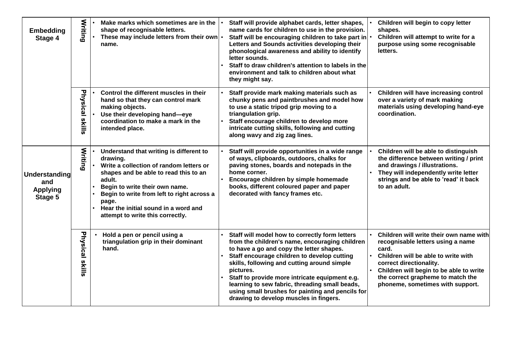| <b>Embedding</b><br>Stage 4                        | Writing                    | Make marks which sometimes are in the<br>shape of recognisable letters.<br>These may include letters from their own $\cdot$<br>name.                                                                                                                                                                                   | Staff will provide alphabet cards, letter shapes,<br>name cards for children to use in the provision.<br>Staff will be encouraging children to take part in $\cdot$<br>Letters and Sounds activities developing their<br>phonological awareness and ability to identify<br>letter sounds.<br>Staff to draw children's attention to labels in the<br>environment and talk to children about what<br>they might say.                                        | Children will begin to copy letter<br>shapes.<br>Children will attempt to write for a<br>purpose using some recognisable<br>letters.                                                                                                                                        |
|----------------------------------------------------|----------------------------|------------------------------------------------------------------------------------------------------------------------------------------------------------------------------------------------------------------------------------------------------------------------------------------------------------------------|-----------------------------------------------------------------------------------------------------------------------------------------------------------------------------------------------------------------------------------------------------------------------------------------------------------------------------------------------------------------------------------------------------------------------------------------------------------|-----------------------------------------------------------------------------------------------------------------------------------------------------------------------------------------------------------------------------------------------------------------------------|
|                                                    | Physical skills            | Control the different muscles in their<br>hand so that they can control mark<br>making objects.<br>Use their developing hand-eye<br>coordination to make a mark in the<br>intended place.                                                                                                                              | Staff provide mark making materials such as<br>chunky pens and paintbrushes and model how<br>to use a static tripod grip moving to a<br>triangulation grip.<br>Staff encourage children to develop more<br>intricate cutting skills, following and cutting<br>along wavy and zig zag lines.                                                                                                                                                               | Children will have increasing control<br>over a variety of mark making<br>materials using developing hand-eye<br>coordination.                                                                                                                                              |
| Understanding<br>and<br><b>Applying</b><br>Stage 5 | <b>Writing</b>             | Understand that writing is different to<br>drawing.<br>Write a collection of random letters or<br>shapes and be able to read this to an<br>adult.<br>Begin to write their own name.<br>Begin to write from left to right across a<br>page.<br>Hear the initial sound in a word and<br>attempt to write this correctly. | Staff will provide opportunities in a wide range<br>of ways, clipboards, outdoors, chalks for<br>paving stones, boards and notepads in the<br>home corner.<br>Encourage children by simple homemade<br>books, different coloured paper and paper<br>decorated with fancy frames etc.                                                                                                                                                                      | Children will be able to distinguish<br>the difference between writing / print<br>and drawings / illustrations.<br>They will independently write letter<br>strings and be able to 'read' it back<br>to an adult.                                                            |
|                                                    | Physical<br><b>ISkills</b> | Hold a pen or pencil using a<br>triangulation grip in their dominant<br>hand.                                                                                                                                                                                                                                          | Staff will model how to correctly form letters<br>from the children's name, encouraging children<br>to have a go and copy the letter shapes.<br>Staff encourage children to develop cutting<br>skills, following and cutting around simple<br>pictures.<br>Staff to provide more intricate equipment e.g.<br>learning to sew fabric, threading small beads,<br>using small brushes for painting and pencils for<br>drawing to develop muscles in fingers. | Children will write their own name with<br>recognisable letters using a name<br>card.<br>Children will be able to write with<br>correct directionality.<br>Children will begin to be able to write<br>the correct grapheme to match the<br>phoneme, sometimes with support. |